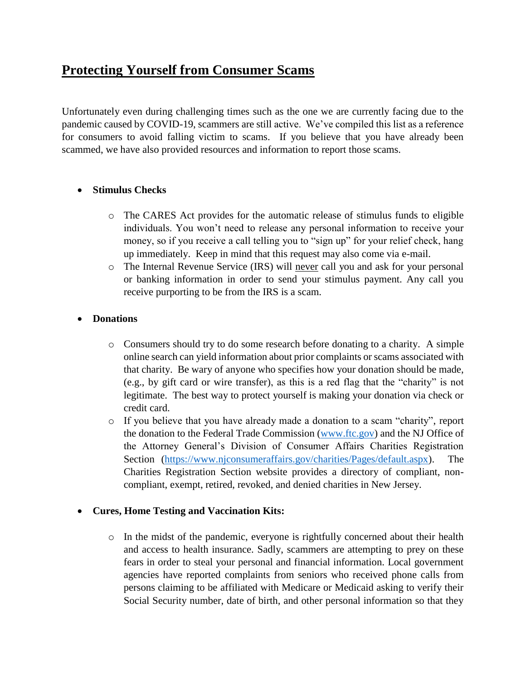# **Protecting Yourself from Consumer Scams**

Unfortunately even during challenging times such as the one we are currently facing due to the pandemic caused by COVID-19, scammers are still active. We've compiled this list as a reference for consumers to avoid falling victim to scams. If you believe that you have already been scammed, we have also provided resources and information to report those scams.

# **Stimulus Checks**

- o The CARES Act provides for the automatic release of stimulus funds to eligible individuals. You won't need to release any personal information to receive your money, so if you receive a call telling you to "sign up" for your relief check, hang up immediately. Keep in mind that this request may also come via e-mail.
- o The Internal Revenue Service (IRS) will never call you and ask for your personal or banking information in order to send your stimulus payment. Any call you receive purporting to be from the IRS is a scam.

# **Donations**

- o Consumers should try to do some research before donating to a charity. A simple online search can yield information about prior complaints or scams associated with that charity. Be wary of anyone who specifies how your donation should be made, (e.g., by gift card or wire transfer), as this is a red flag that the "charity" is not legitimate. The best way to protect yourself is making your donation via check or credit card.
- o If you believe that you have already made a donation to a scam "charity", report the donation to the Federal Trade Commission [\(www.ftc.gov\)](http://www.ftc.gov/) and the NJ Office of the Attorney General's Division of Consumer Affairs Charities Registration Section [\(https://www.njconsumeraffairs.gov/charities/Pages/default.aspx\)](https://www.njconsumeraffairs.gov/charities/Pages/default.aspx). The Charities Registration Section website provides a directory of compliant, noncompliant, exempt, retired, revoked, and denied charities in New Jersey.

### **Cures, Home Testing and Vaccination Kits:**

 $\circ$  In the midst of the pandemic, everyone is rightfully concerned about their health and access to health insurance. Sadly, scammers are attempting to prey on these fears in order to steal your personal and financial information. Local government agencies have reported complaints from seniors who received phone calls from persons claiming to be affiliated with Medicare or Medicaid asking to verify their Social Security number, date of birth, and other personal information so that they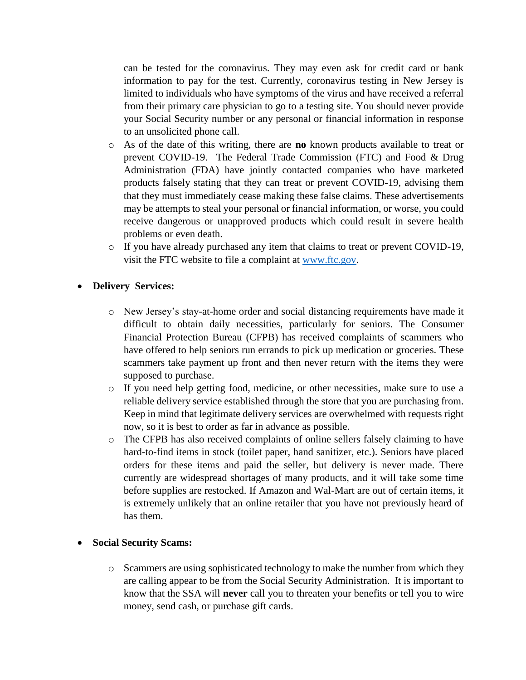can be tested for the coronavirus. They may even ask for credit card or bank information to pay for the test. Currently, coronavirus testing in New Jersey is limited to individuals who have symptoms of the virus and have received a referral from their primary care physician to go to a testing site. You should never provide your Social Security number or any personal or financial information in response to an unsolicited phone call.

- o As of the date of this writing, there are **no** known products available to treat or prevent COVID-19. The Federal Trade Commission (FTC) and Food & Drug Administration (FDA) have jointly contacted companies who have marketed products falsely stating that they can treat or prevent COVID-19, advising them that they must immediately cease making these false claims. These advertisements may be attempts to steal your personal or financial information, or worse, you could receive dangerous or unapproved products which could result in severe health problems or even death.
- o If you have already purchased any item that claims to treat or prevent COVID-19, visit the FTC website to file a complaint at [www.ftc.gov.](http://www.ftc.gov/)

### **Delivery Services:**

- o New Jersey's stay-at-home order and social distancing requirements have made it difficult to obtain daily necessities, particularly for seniors. The Consumer Financial Protection Bureau (CFPB) has received complaints of scammers who have offered to help seniors run errands to pick up medication or groceries. These scammers take payment up front and then never return with the items they were supposed to purchase.
- o If you need help getting food, medicine, or other necessities, make sure to use a reliable delivery service established through the store that you are purchasing from. Keep in mind that legitimate delivery services are overwhelmed with requests right now, so it is best to order as far in advance as possible.
- o The CFPB has also received complaints of online sellers falsely claiming to have hard-to-find items in stock (toilet paper, hand sanitizer, etc.). Seniors have placed orders for these items and paid the seller, but delivery is never made. There currently are widespread shortages of many products, and it will take some time before supplies are restocked. If Amazon and Wal-Mart are out of certain items, it is extremely unlikely that an online retailer that you have not previously heard of has them.

#### **Social Security Scams:**

o Scammers are using sophisticated technology to make the number from which they are calling appear to be from the Social Security Administration. It is important to know that the SSA will **never** call you to threaten your benefits or tell you to wire money, send cash, or purchase gift cards.